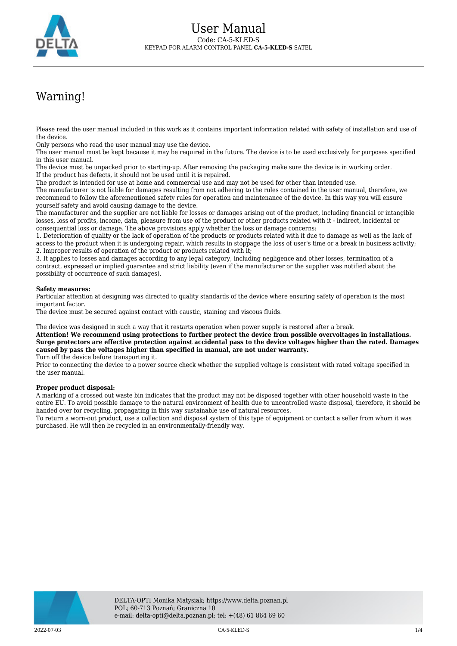

## Warning!

Please read the user manual included in this work as it contains important information related with safety of installation and use of the device.

Only persons who read the user manual may use the device.

The user manual must be kept because it may be required in the future. The device is to be used exclusively for purposes specified in this user manual.

The device must be unpacked prior to starting-up. After removing the packaging make sure the device is in working order. If the product has defects, it should not be used until it is repaired.

The product is intended for use at home and commercial use and may not be used for other than intended use.

The manufacturer is not liable for damages resulting from not adhering to the rules contained in the user manual, therefore, we recommend to follow the aforementioned safety rules for operation and maintenance of the device. In this way you will ensure yourself safety and avoid causing damage to the device.

The manufacturer and the supplier are not liable for losses or damages arising out of the product, including financial or intangible losses, loss of profits, income, data, pleasure from use of the product or other products related with it - indirect, incidental or consequential loss or damage. The above provisions apply whether the loss or damage concerns:

1. Deterioration of quality or the lack of operation of the products or products related with it due to damage as well as the lack of access to the product when it is undergoing repair, which results in stoppage the loss of user's time or a break in business activity; 2. Improper results of operation of the product or products related with it;

3. It applies to losses and damages according to any legal category, including negligence and other losses, termination of a contract, expressed or implied guarantee and strict liability (even if the manufacturer or the supplier was notified about the possibility of occurrence of such damages).

## **Safety measures:**

Particular attention at designing was directed to quality standards of the device where ensuring safety of operation is the most important factor.

The device must be secured against contact with caustic, staining and viscous fluids.

The device was designed in such a way that it restarts operation when power supply is restored after a break.

**Attention! We recommend using protections to further protect the device from possible overvoltages in installations. Surge protectors are effective protection against accidental pass to the device voltages higher than the rated. Damages caused by pass the voltages higher than specified in manual, are not under warranty.**

Turn off the device before transporting it.

Prior to connecting the device to a power source check whether the supplied voltage is consistent with rated voltage specified in the user manual.

## **Proper product disposal:**

A marking of a crossed out waste bin indicates that the product may not be disposed together with other household waste in the entire EU. To avoid possible damage to the natural environment of health due to uncontrolled waste disposal, therefore, it should be handed over for recycling, propagating in this way sustainable use of natural resources.

To return a worn-out product, use a collection and disposal system of this type of equipment or contact a seller from whom it was purchased. He will then be recycled in an environmentally-friendly way.

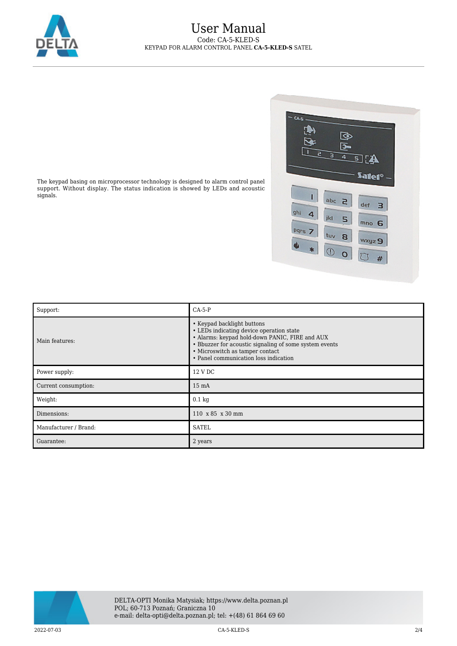

## User Manual Code: CA-5-KLED-S KEYPAD FOR ALARM CONTROL PANEL **CA-5-KLED-S** SATEL



The keypad basing on microprocessor technology is designed to alarm control panel support. Without display. The status indication is showed by LEDs and acoustic signals.

| Support:              | $CA-5-P$                                                                                                                                                                                                                                                       |  |
|-----------------------|----------------------------------------------------------------------------------------------------------------------------------------------------------------------------------------------------------------------------------------------------------------|--|
| Main features:        | • Keypad backlight buttons<br>• LEDs indicating device operation state<br>• Alarms: keypad hold-down PANIC, FIRE and AUX<br>• Bbuzzer for acoustic signaling of some system events<br>• Microswitch as tamper contact<br>• Panel communication loss indication |  |
| Power supply:         | 12 V DC                                                                                                                                                                                                                                                        |  |
| Current consumption:  | $15 \text{ mA}$                                                                                                                                                                                                                                                |  |
| Weight:               | $0.1 \text{ kg}$                                                                                                                                                                                                                                               |  |
| Dimensions:           | 110 x 85 x 30 mm                                                                                                                                                                                                                                               |  |
| Manufacturer / Brand: | <b>SATEL</b>                                                                                                                                                                                                                                                   |  |
| Guarantee:            | 2 years                                                                                                                                                                                                                                                        |  |



2022-07-03 CA-5-KLED-S 2/4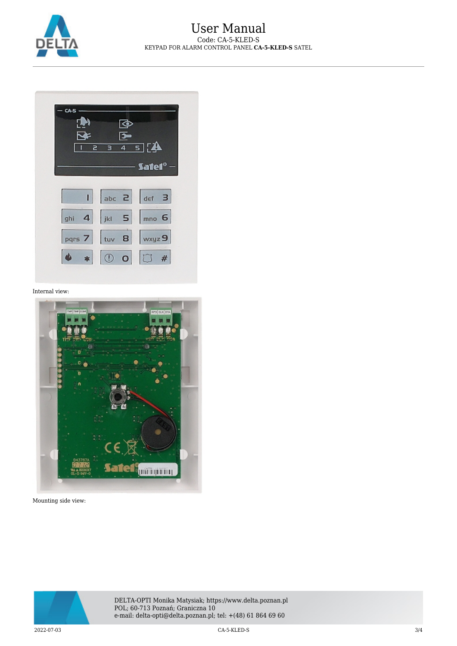

| CA.       |   |   | ⊴                   |                                                                                                                  |  |
|-----------|---|---|---------------------|------------------------------------------------------------------------------------------------------------------|--|
|           | 2 | з | ₻<br>$\overline{4}$ | क][a                                                                                                             |  |
|           |   |   |                     | — Satel° —<br>$\begin{array}{ c c c c }\n\hline\nI & \text{abc} & \text{Z} & \text{def} & \text{3}\n\end{array}$ |  |
| ghi       |   |   |                     | $4$   jkl $5$   mno 6                                                                                            |  |
| $\bullet$ |   |   |                     | pqrs 7 tuv 8 wxyz 9<br>$\bullet$ 000 #                                                                           |  |
|           |   |   |                     |                                                                                                                  |  |

Internal view:



Mounting side view: